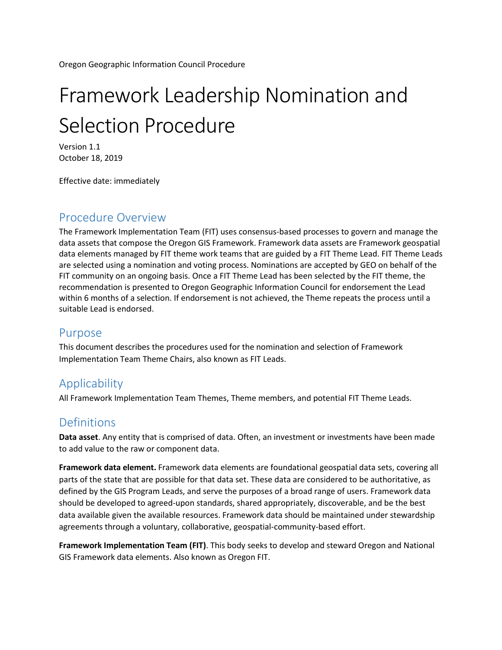Oregon Geographic Information Council Procedure

# Framework Leadership Nomination and Selection Procedure

Version 1.1 October 18, 2019

Effective date: immediately

## Procedure Overview

The Framework Implementation Team (FIT) uses consensus-based processes to govern and manage the data assets that compose the Oregon GIS Framework. Framework data assets are Framework geospatial data elements managed by FIT theme work teams that are guided by a FIT Theme Lead. FIT Theme Leads are selected using a nomination and voting process. Nominations are accepted by GEO on behalf of the FIT community on an ongoing basis. Once a FIT Theme Lead has been selected by the FIT theme, the recommendation is presented to Oregon Geographic Information Council for endorsement the Lead within 6 months of a selection. If endorsement is not achieved, the Theme repeats the process until a suitable Lead is endorsed.

## Purpose

This document describes the procedures used for the nomination and selection of Framework Implementation Team Theme Chairs, also known as FIT Leads.

# **Applicability**

All Framework Implementation Team Themes, Theme members, and potential FIT Theme Leads.

## Definitions

**Data asset**. Any entity that is comprised of data. Often, an investment or investments have been made to add value to the raw or component data.

**Framework data element.** Framework data elements are foundational geospatial data sets, covering all parts of the state that are possible for that data set. These data are considered to be authoritative, as defined by the GIS Program Leads, and serve the purposes of a broad range of users. Framework data should be developed to agreed-upon standards, shared appropriately, discoverable, and be the best data available given the available resources. Framework data should be maintained under stewardship agreements through a voluntary, collaborative, geospatial-community-based effort.

**Framework Implementation Team (FIT)**. This body seeks to develop and steward Oregon and National GIS Framework data elements. Also known as Oregon FIT.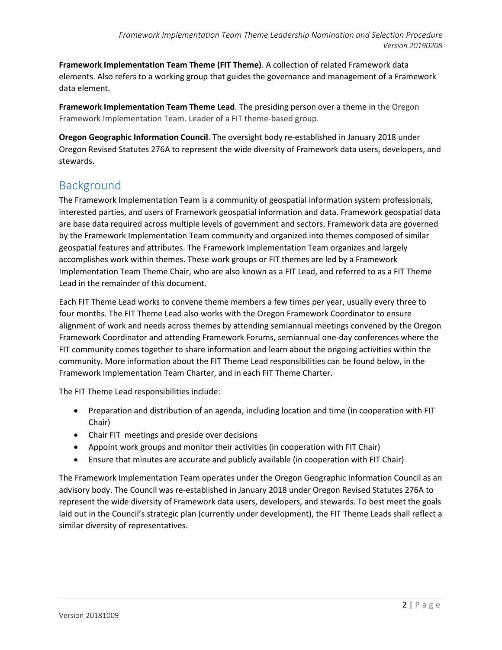**Framework Implementation Team Theme (FIT Theme)**. A collection of related Framework data elements. Also refers to a working group that guides the governance and management of a Framework data element.

**Framework Implementation Team Theme Lead**. The presiding person over a theme in the Oregon Framework Implementation Team. Leader of a FIT theme-based group.

**Oregon Geographic Information Council**. The oversight body re-established in January 2018 under Oregon Revised Statutes 276A to represent the wide diversity of Framework data users, developers, and stewards.

# Background

The Framework Implementation Team is a community of geospatial information system professionals, interested parties, and users of Framework geospatial information and data. Framework geospatial data are base data required across multiple levels of government and sectors. Framework data are governed by the Framework Implementation Team community and organized into themes composed of similar geospatial features and attributes. The Framework Implementation Team organizes and largely accomplishes work within themes. These work groups or FIT themes are led by a Framework Implementation Team Theme Chair, who are also known as a FIT Lead, and referred to as a FIT Theme Lead in the remainder of this document.

Each FIT Theme Lead works to convene theme members a few times per year, usually every three to four months. The FIT Theme Lead also works with the Oregon Framework Coordinator to ensure alignment of work and needs across themes by attending semiannual meetings convened by the Oregon Framework Coordinator and attending Framework Forums, semiannual one-day conferences where the FIT community comes together to share information and learn about the ongoing activities within the community. More information about the FIT Theme Lead responsibilities can be found below, in the Framework Implementation Team Charter, and in each FIT Theme Charter.

The FIT Theme Lead responsibilities include:

- Preparation and distribution of an agenda, including location and time (in cooperation with FIT Chair)
- Chair FIT meetings and preside over decisions
- Appoint work groups and monitor their activities (in cooperation with FIT Chair)
- Ensure that minutes are accurate and publicly available (in cooperation with FIT Chair)

The Framework Implementation Team operates under the Oregon Geographic Information Council as an advisory body. The Council was re-established in January 2018 under Oregon Revised Statutes 276A to represent the wide diversity of Framework data users, developers, and stewards. To best meet the goals laid out in the Council's strategic plan (currently under development), the FIT Theme Leads shall reflect a similar diversity of representatives.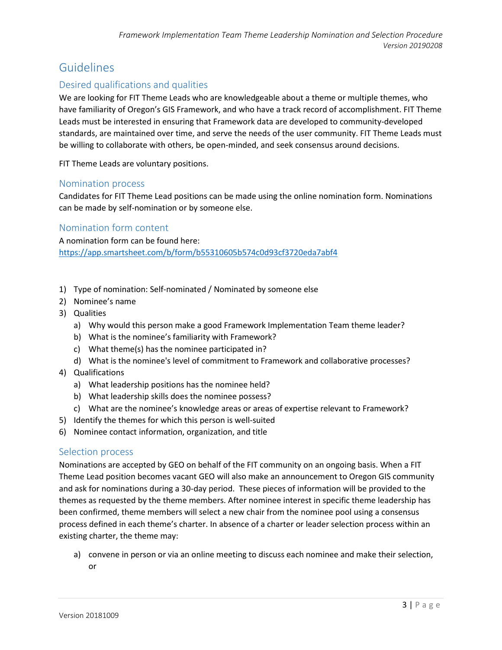# Guidelines

### Desired qualifications and qualities

We are looking for FIT Theme Leads who are knowledgeable about a theme or multiple themes, who have familiarity of Oregon's GIS Framework, and who have a track record of accomplishment. FIT Theme Leads must be interested in ensuring that Framework data are developed to community-developed standards, are maintained over time, and serve the needs of the user community. FIT Theme Leads must be willing to collaborate with others, be open-minded, and seek consensus around decisions.

FIT Theme Leads are voluntary positions.

#### Nomination process

Candidates for FIT Theme Lead positions can be made using the online nomination form. Nominations can be made by self-nomination or by someone else.

#### Nomination form content

A nomination form can be found here: <https://app.smartsheet.com/b/form/b55310605b574c0d93cf3720eda7abf4>

- 1) Type of nomination: Self-nominated / Nominated by someone else
- 2) Nominee's name
- 3) Qualities
	- a) Why would this person make a good Framework Implementation Team theme leader?
	- b) What is the nominee's familiarity with Framework?
	- c) What theme(s) has the nominee participated in?
	- d) What is the nominee's level of commitment to Framework and collaborative processes?
- 4) Qualifications
	- a) What leadership positions has the nominee held?
	- b) What leadership skills does the nominee possess?
	- c) What are the nominee's knowledge areas or areas of expertise relevant to Framework?
- 5) Identify the themes for which this person is well-suited
- 6) Nominee contact information, organization, and title

#### Selection process

Nominations are accepted by GEO on behalf of the FIT community on an ongoing basis. When a FIT Theme Lead position becomes vacant GEO will also make an announcement to Oregon GIS community and ask for nominations during a 30-day period. These pieces of information will be provided to the themes as requested by the theme members. After nominee interest in specific theme leadership has been confirmed, theme members will select a new chair from the nominee pool using a consensus process defined in each theme's charter. In absence of a charter or leader selection process within an existing charter, the theme may:

a) convene in person or via an online meeting to discuss each nominee and make their selection, or